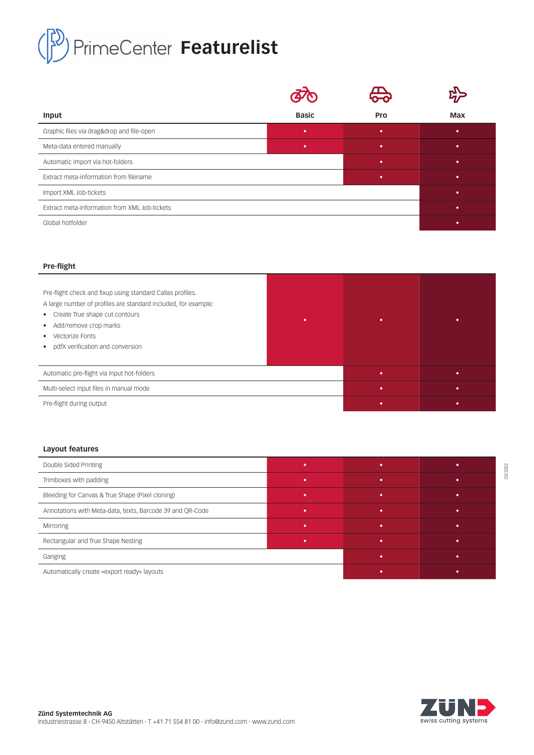# PrimeCenter Featurelist

| Input                                         | <b>Basic</b> | <b>Pro</b> | <b>Max</b> |
|-----------------------------------------------|--------------|------------|------------|
| Graphic files via drag&drop and file-open     | ٠            | ٠          | ٠          |
| Meta-data entered manually                    | ٠            | ٠          | ٠          |
| Automatic import via hot-folders              |              | ٠          | ٠          |
| Extract meta-information from filename        |              | ٠          | ٠          |
| Import XML Job-tickets                        |              |            | $\bullet$  |
| Extract meta-information from XML Job-tickets |              |            | $\bullet$  |
| Global hotfolder                              |              |            | $\bullet$  |

### **Pre-flight**

| Pre-flight check and fixup using standard Callas profiles.<br>A large number of profiles are standard included, for example:<br>• Create True shape cut contours<br>• Add/remove crop marks<br>Vectorize Fonts<br>$\bullet$<br>pdfX verification and conversion<br>$\bullet$ | ٠ |   | ٠         |
|------------------------------------------------------------------------------------------------------------------------------------------------------------------------------------------------------------------------------------------------------------------------------|---|---|-----------|
| Automatic pre-flight via Input hot-folders                                                                                                                                                                                                                                   |   | ٠ | ۰         |
| Multi-select input files in manual mode                                                                                                                                                                                                                                      |   | ٠ | $\bullet$ |
| Pre-flight during output                                                                                                                                                                                                                                                     |   |   | ٠         |

## **Layout features**

| Double Sided Printing                                     |   |   |  |
|-----------------------------------------------------------|---|---|--|
| Trimboxes with padding                                    |   | × |  |
| Bleeding for Canvas & True Shape (Pixel cloning)          | ٠ | × |  |
| Annotations with Meta-data, texts, Barcode 39 and QR-Code |   | × |  |
| Mirroring                                                 |   |   |  |
| Rectangular and True Shape Nesting                        |   | × |  |
| Ganging                                                   |   |   |  |
| Automatically create «export ready» layouts               |   |   |  |